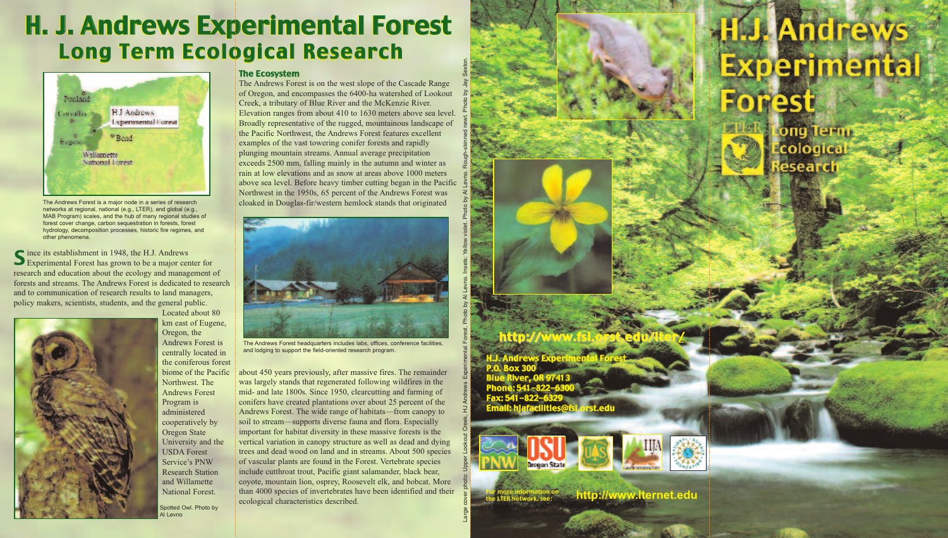Large cover photo: Upper Lookout Creek, HJ Andrews Experimental Forest, Photo by Al Levno. Insets: Yellow violet. Photo by Al Levno. Rough-skinned newt. Photo by Jay Sexton

# Long Term Ecological Research Long Term Ecological Research . H. J. Andrews Experimental Forest

ince its establishment in 1948, the H.J. Andrews S ince its establishment in 1948, the H.J. Andrews<br>Experimental Forest has grown to be a major center for research and education about the ecology and management of forests and streams. The Andrews Forest is dedicated to research and to communication of research results to land managers, policy makers, scientists, students, and the general public.



Located about 80 km east of Eugene, Oregon, the Andrews Forest is centrally located in the coniferous forest biome of the Pacific Northwest. The Andrews Forest Program is administered cooperatively by Oregon State University and the USDA Forest Service's PNW Research Station and Willamette National Forest.

#### The Ecosystem

The Andrews Forest is on the west slope of the Cascade Range of Oregon, and encompasses the 6400-ha watershed of Lookout Creek, a tributary of Blue River and the McKenzie River. Elevation ranges from about 410 to 1630 meters above sea level. Broadly representative of the rugged, mountainous landscape of the Pacific Northwest, the Andrews Forest features excellent examples of the vast towering conifer forests and rapidly plunging mountain streams. Annual average precipitation exceeds 2500 mm, falling mainly in the autumn and winter as rain at low elevations and as snow at areas above 1000 meters above sea level. Before heavy timber cutting began in the Pacific Northwest in the 1950s, 65 percent of the Andrews Forest was cloaked in Douglas-fir/western hemlock stands that originated



about 450 years previously, after massive fires. The remainder was largely stands that regenerated following wildfires in the mid- and late 1800s. Since 1950, clearcutting and farming of conifers have created plantations over about 25 percent of the Andrews Forest. The wide range of habitats—from canopy to soil to stream—supports diverse fauna and flora. Especially important for habitat diversity in these massive forests is the vertical variation in canopy structure as well as dead and dying trees and dead wood on land and in streams. About 500 species of vascular plants are found in the Forest. Vertebrate species include cutthroat trout, Pacific giant salamander, black bear, coyote, mountain lion, osprey, Roosevelt elk, and bobcat. More than 4000 species of invertebrates have been identified and their ecological characteristics described.



The Andrews Forest is a major node in a series of research networks at regional, national (e.g., LTER), and global (e.g., MAB Program) scales, and the hub of many regional studies of forest cover change, carbon sequestration in forests, forest hydrology, decomposition processes, historic fire regimes, and other phenomena.

The Andrews Forest headquarters includes labs, offices, conference facilities, and lodging to support the field-oriented research program.





Spotted Owl. Photo by Al Levno